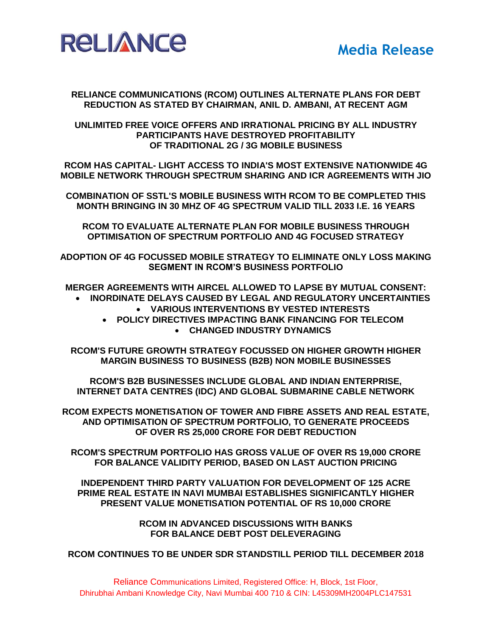

# **RELIANCE COMMUNICATIONS (RCOM) OUTLINES ALTERNATE PLANS FOR DEBT REDUCTION AS STATED BY CHAIRMAN, ANIL D. AMBANI, AT RECENT AGM**

# **UNLIMITED FREE VOICE OFFERS AND IRRATIONAL PRICING BY ALL INDUSTRY PARTICIPANTS HAVE DESTROYED PROFITABILITY OF TRADITIONAL 2G / 3G MOBILE BUSINESS**

**RCOM HAS CAPITAL- LIGHT ACCESS TO INDIA'S MOST EXTENSIVE NATIONWIDE 4G MOBILE NETWORK THROUGH SPECTRUM SHARING AND ICR AGREEMENTS WITH JIO**

**COMBINATION OF SSTL'S MOBILE BUSINESS WITH RCOM TO BE COMPLETED THIS MONTH BRINGING IN 30 MHZ OF 4G SPECTRUM VALID TILL 2033 I.E. 16 YEARS**

**RCOM TO EVALUATE ALTERNATE PLAN FOR MOBILE BUSINESS THROUGH OPTIMISATION OF SPECTRUM PORTFOLIO AND 4G FOCUSED STRATEGY**

**ADOPTION OF 4G FOCUSSED MOBILE STRATEGY TO ELIMINATE ONLY LOSS MAKING SEGMENT IN RCOM'S BUSINESS PORTFOLIO**

**MERGER AGREEMENTS WITH AIRCEL ALLOWED TO LAPSE BY MUTUAL CONSENT: INORDINATE DELAYS CAUSED BY LEGAL AND REGULATORY UNCERTAINTIES**

- **VARIOUS INTERVENTIONS BY VESTED INTERESTS**
- **POLICY DIRECTIVES IMPACTING BANK FINANCING FOR TELECOM**
	- **CHANGED INDUSTRY DYNAMICS**

**RCOM'S FUTURE GROWTH STRATEGY FOCUSSED ON HIGHER GROWTH HIGHER MARGIN BUSINESS TO BUSINESS (B2B) NON MOBILE BUSINESSES**

**RCOM'S B2B BUSINESSES INCLUDE GLOBAL AND INDIAN ENTERPRISE, INTERNET DATA CENTRES (IDC) AND GLOBAL SUBMARINE CABLE NETWORK**

**RCOM EXPECTS MONETISATION OF TOWER AND FIBRE ASSETS AND REAL ESTATE, AND OPTIMISATION OF SPECTRUM PORTFOLIO, TO GENERATE PROCEEDS OF OVER RS 25,000 CRORE FOR DEBT REDUCTION**

**RCOM'S SPECTRUM PORTFOLIO HAS GROSS VALUE OF OVER RS 19,000 CRORE FOR BALANCE VALIDITY PERIOD, BASED ON LAST AUCTION PRICING**

**INDEPENDENT THIRD PARTY VALUATION FOR DEVELOPMENT OF 125 ACRE PRIME REAL ESTATE IN NAVI MUMBAI ESTABLISHES SIGNIFICANTLY HIGHER PRESENT VALUE MONETISATION POTENTIAL OF RS 10,000 CRORE**

> **RCOM IN ADVANCED DISCUSSIONS WITH BANKS FOR BALANCE DEBT POST DELEVERAGING**

**RCOM CONTINUES TO BE UNDER SDR STANDSTILL PERIOD TILL DECEMBER 2018**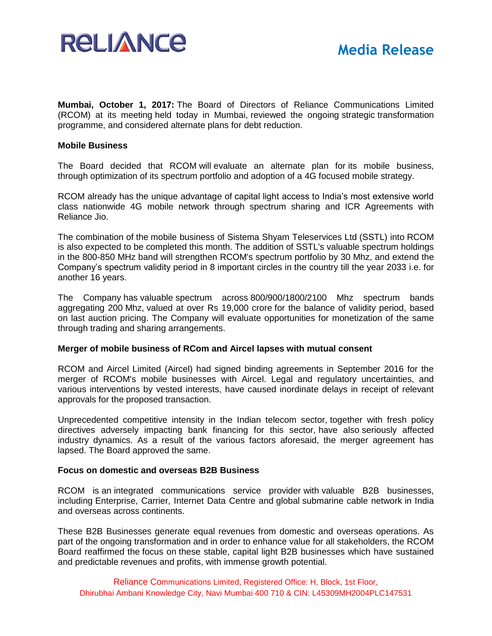

**Mumbai, October 1, 2017:** The Board of Directors of Reliance Communications Limited (RCOM) at its meeting held today in Mumbai, reviewed the ongoing strategic transformation programme, and considered alternate plans for debt reduction.

# **Mobile Business**

The Board decided that RCOM will evaluate an alternate plan for its mobile business, through optimization of its spectrum portfolio and adoption of a 4G focused mobile strategy.

RCOM already has the unique advantage of capital light access to India's most extensive world class nationwide 4G mobile network through spectrum sharing and ICR Agreements with Reliance Jio.

The combination of the mobile business of Sistema Shyam Teleservices Ltd (SSTL) into RCOM is also expected to be completed this month. The addition of SSTL's valuable spectrum holdings in the 800-850 MHz band will strengthen RCOM's spectrum portfolio by 30 Mhz, and extend the Company's spectrum validity period in 8 important circles in the country till the year 2033 i.e. for another 16 years.

The Company has valuable spectrum across [800/900/1800/](tel:/800-900-1800)2100 Mhz spectrum bands aggregating 200 Mhz, valued at over Rs 19,000 crore for the balance of validity period, based on last auction pricing. The Company will evaluate opportunities for monetization of the same through trading and sharing arrangements.

# **Merger of mobile business of RCom and Aircel lapses with mutual consent**

RCOM and Aircel Limited (Aircel) had signed binding agreements in September 2016 for the merger of RCOM's mobile businesses with Aircel. Legal and regulatory uncertainties, and various interventions by vested interests, have caused inordinate delays in receipt of relevant approvals for the proposed transaction.

Unprecedented competitive intensity in the Indian telecom sector, together with fresh policy directives adversely impacting bank financing for this sector, have also seriously affected industry dynamics. As a result of the various factors aforesaid, the merger agreement has lapsed. The Board approved the same.

## **Focus on domestic and overseas B2B Business**

RCOM is an integrated communications service provider with valuable B2B businesses, including Enterprise, Carrier, Internet Data Centre and global submarine cable network in India and overseas across continents.

These B2B Businesses generate equal revenues from domestic and overseas operations. As part of the ongoing transformation and in order to enhance value for all stakeholders, the RCOM Board reaffirmed the focus on these stable, capital light B2B businesses which have sustained and predictable revenues and profits, with immense growth potential.